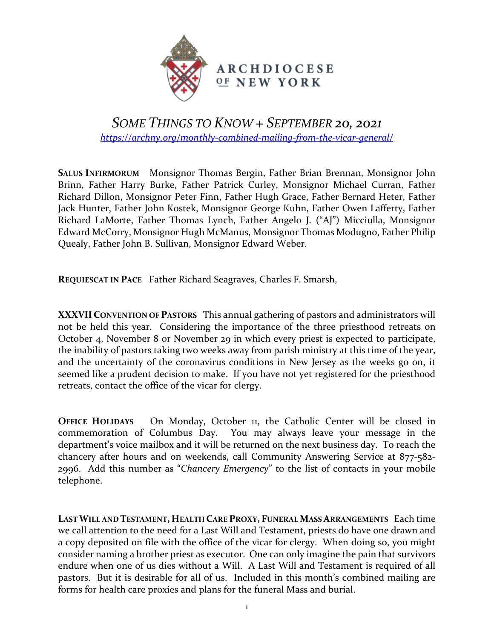

## *SOME THINGS TO KNOW + SEPTEMBER 20, 2021 <https://archny.org/monthly-combined-mailing-from-the-vicar-general/>*

**SALUS INFIRMORUM** Monsignor Thomas Bergin, Father Brian Brennan, Monsignor John Brinn, Father Harry Burke, Father Patrick Curley, Monsignor Michael Curran, Father Richard Dillon, Monsignor Peter Finn, Father Hugh Grace, Father Bernard Heter, Father Jack Hunter, Father John Kostek, Monsignor George Kuhn, Father Owen Lafferty, Father Richard LaMorte, Father Thomas Lynch, Father Angelo J. ("AJ") Micciulla, Monsignor Edward McCorry, Monsignor Hugh McManus, Monsignor Thomas Modugno, Father Philip Quealy, Father John B. Sullivan, Monsignor Edward Weber.

**REQUIESCAT IN PACE** Father Richard Seagraves, Charles F. Smarsh,

**XXXVIICONVENTION OF PASTORS** This annual gathering of pastors and administrators will not be held this year. Considering the importance of the three priesthood retreats on October 4, November 8 or November 29 in which every priest is expected to participate, the inability of pastors taking two weeks away from parish ministry at this time of the year, and the uncertainty of the coronavirus conditions in New Jersey as the weeks go on, it seemed like a prudent decision to make. If you have not yet registered for the priesthood retreats, contact the office of the vicar for clergy.

**OFFICE HOLIDAYS** On Monday, October 11, the Catholic Center will be closed in commemoration of Columbus Day. You may always leave your message in the department's voice mailbox and it will be returned on the next business day. To reach the chancery after hours and on weekends, call Community Answering Service at 877-582- 2996. Add this number as "*Chancery Emergency*" to the list of contacts in your mobile telephone.

**LAST WILL AND TESTAMENT, HEALTH CARE PROXY, FUNERAL MASS ARRANGEMENTS** Each time we call attention to the need for a Last Will and Testament, priests do have one drawn and a copy deposited on file with the office of the vicar for clergy. When doing so, you might consider naming a brother priest as executor. One can only imagine the pain that survivors endure when one of us dies without a Will. A Last Will and Testament is required of all pastors. But it is desirable for all of us. Included in this month's combined mailing are forms for health care proxies and plans for the funeral Mass and burial.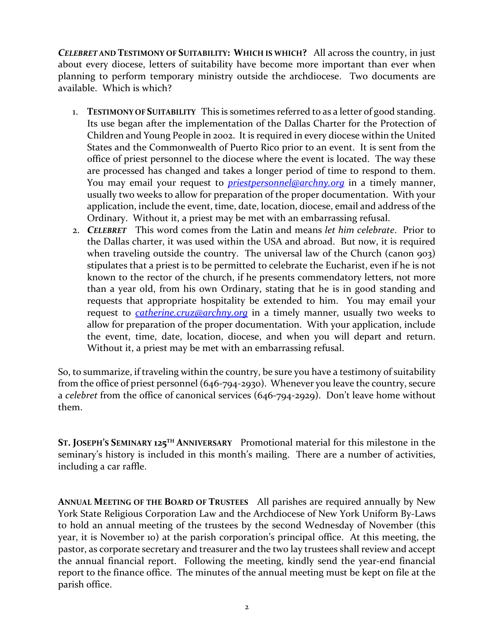*CELEBRET* **AND TESTIMONY OF SUITABILITY: WHICH IS WHICH?** All across the country, in just about every diocese, letters of suitability have become more important than ever when planning to perform temporary ministry outside the archdiocese. Two documents are available. Which is which?

- 1. **TESTIMONY OF SUITABILITY** This is sometimes referred to as a letter of good standing. Its use began after the implementation of the Dallas Charter for the Protection of Children and Young People in 2002. It is required in every diocese within the United States and the Commonwealth of Puerto Rico prior to an event. It is sent from the office of priest personnel to the diocese where the event is located. The way these are processed has changed and takes a longer period of time to respond to them. You may email your request to *[priestpersonnel@archny.org](mailto:priestpersonnel@archny.org)* in a timely manner, usually two weeks to allow for preparation of the proper documentation. With your application, include the event, time, date, location, diocese, email and address of the Ordinary. Without it, a priest may be met with an embarrassing refusal.
- 2. *CELEBRET* This word comes from the Latin and means *let him celebrate*. Prior to the Dallas charter, it was used within the USA and abroad. But now, it is required when traveling outside the country. The universal law of the Church (canon 903) stipulates that a priest is to be permitted to celebrate the Eucharist, even if he is not known to the rector of the church, if he presents commendatory letters, not more than a year old, from his own Ordinary, stating that he is in good standing and requests that appropriate hospitality be extended to him. You may email your request to *[catherine.cruz@archny.org](mailto:catherine.cruz@archny.org)* in a timely manner, usually two weeks to allow for preparation of the proper documentation. With your application, include the event, time, date, location, diocese, and when you will depart and return. Without it, a priest may be met with an embarrassing refusal.

So, to summarize, if traveling within the country, be sure you have a testimony of suitability from the office of priest personnel (646-794-2930). Whenever you leave the country, secure a *celebret* from the office of canonical services (646-794-2929). Don't leave home without them.

**ST. JOSEPH'S SEMINARY 125TH ANNIVERSARY** Promotional material for this milestone in the seminary's history is included in this month's mailing. There are a number of activities, including a car raffle.

**ANNUAL MEETING OF THE BOARD OF TRUSTEES** All parishes are required annually by New York State Religious Corporation Law and the Archdiocese of New York Uniform By-Laws to hold an annual meeting of the trustees by the second Wednesday of November (this year, it is November 10) at the parish corporation's principal office. At this meeting, the pastor, as corporate secretary and treasurer and the two lay trustees shall review and accept the annual financial report. Following the meeting, kindly send the year-end financial report to the finance office. The minutes of the annual meeting must be kept on file at the parish office.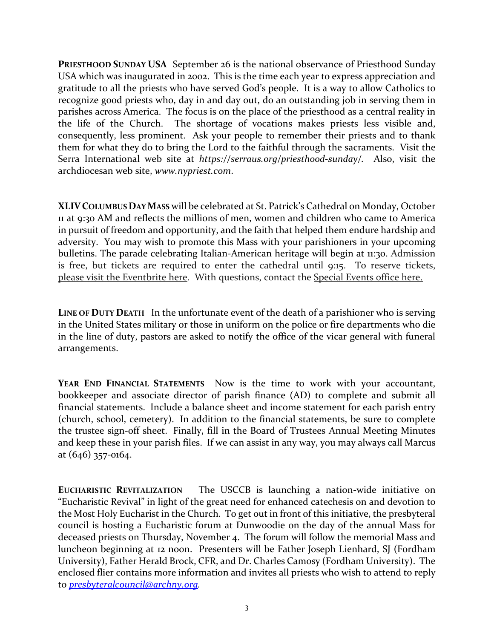**PRIESTHOOD SUNDAY USA** September 26 is the national observance of Priesthood Sunday USA which was inaugurated in 2002. This is the time each year to express appreciation and gratitude to all the priests who have served God's people. It is a way to allow Catholics to recognize good priests who, day in and day out, do an outstanding job in serving them in parishes across America. The focus is on the place of the priesthood as a central reality in the life of the Church. The shortage of vocations makes priests less visible and, consequently, less prominent. Ask your people to remember their priests and to thank them for what they do to bring the Lord to the faithful through the sacraments. Visit the Serra International web site at *https://serraus.org/priesthood-sunday/.* Also, visit the archdiocesan web site, *www.nypriest.com*.

**XLIVCOLUMBUS DAY MASS** will be celebrated at St. Patrick's Cathedral on Monday, October 11 at 9:30 AM and reflects the millions of men, women and children who came to America in pursuit of freedom and opportunity, and the faith that helped them endure hardship and adversity. You may wish to promote this Mass with your parishioners in your upcoming bulletins. The parade celebrating Italian-American heritage will begin at 11:30. Admission is free, but tickets are required to enter the cathedral until 9:15. To reserve tickets, please [visit the Eventbrite here.](https://urldefense.com/v3/__https:/44hmv1lj.r.us-east-1.awstrack.me/L0/https:*2F*2Fwww.eventbrite.com*2Fe*2Fcolumbus-day-mass-registration-166524494245/1/0100017be589b7c8-dc1e2913-9429-4399-9b42-a9039ee96b1b-000000/g2wvzV5K6p_hcNKGTblTsVUxRBg=235__;JSUlJQ!!CKtKgcab!ylvtMuaJu9qftn-oddF_vjmIXA8sEPIdri8qecDWN7pU37vOUcUH3Tkc5AdJtPT-lQ$) With questions, contact the [Special Events office here.](mailto:%20specialevents@archny.org)

**LINE OF DUTY DEATH** In the unfortunate event of the death of a parishioner who is serving in the United States military or those in uniform on the police or fire departments who die in the line of duty, pastors are asked to notify the office of the vicar general with funeral arrangements.

**YEAR END FINANCIAL STATEMENTS** Now is the time to work with your accountant, bookkeeper and associate director of parish finance (AD) to complete and submit all financial statements. Include a balance sheet and income statement for each parish entry (church, school, cemetery). In addition to the financial statements, be sure to complete the trustee sign-off sheet. Finally, fill in the Board of Trustees Annual Meeting Minutes and keep these in your parish files. If we can assist in any way, you may always call Marcus at (646) 357-0164.

**EUCHARISTIC REVITALIZATION** The USCCB is launching a nation-wide initiative on "Eucharistic Revival" in light of the great need for enhanced catechesis on and devotion to the Most Holy Eucharist in the Church. To get out in front of this initiative, the presbyteral council is hosting a Eucharistic forum at Dunwoodie on the day of the annual Mass for deceased priests on Thursday, November 4. The forum will follow the memorial Mass and luncheon beginning at 12 noon. Presenters will be Father Joseph Lienhard, SJ (Fordham University), Father Herald Brock, CFR, and Dr. Charles Camosy (Fordham University). The enclosed flier contains more information and invites all priests who wish to attend to reply to *[presbyteralcouncil@archny.org.](mailto:presbyteralcouncil@archny.org)*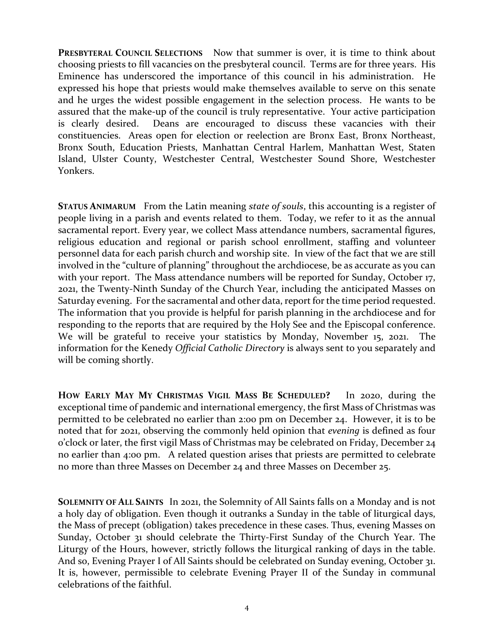PRESBYTERAL COUNCIL SELECTIONS Now that summer is over, it is time to think about choosing priests to fill vacancies on the presbyteral council. Terms are for three years. His Eminence has underscored the importance of this council in his administration. He expressed his hope that priests would make themselves available to serve on this senate and he urges the widest possible engagement in the selection process. He wants to be assured that the make-up of the council is truly representative. Your active participation is clearly desired. Deans are encouraged to discuss these vacancies with their constituencies. Areas open for election or reelection are Bronx East, Bronx Northeast, Bronx South, Education Priests, Manhattan Central Harlem, Manhattan West, Staten Island, Ulster County, Westchester Central, Westchester Sound Shore, Westchester Yonkers.

**STATUS ANIMARUM** From the Latin meaning *state of souls*, this accounting is a register of people living in a parish and events related to them. Today, we refer to it as the annual sacramental report. Every year, we collect Mass attendance numbers, sacramental figures, religious education and regional or parish school enrollment, staffing and volunteer personnel data for each parish church and worship site. In view of the fact that we are still involved in the "culture of planning" throughout the archdiocese, be as accurate as you can with your report. The Mass attendance numbers will be reported for Sunday, October 17, 2021, the Twenty-Ninth Sunday of the Church Year, including the anticipated Masses on Saturday evening. For the sacramental and other data, report for the time period requested. The information that you provide is helpful for parish planning in the archdiocese and for responding to the reports that are required by the Holy See and the Episcopal conference. We will be grateful to receive your statistics by Monday, November 15, 2021. The information for the Kenedy *Official Catholic Directory* is always sent to you separately and will be coming shortly.

**HOW EARLY MAY MY CHRISTMAS VIGIL MASS BE SCHEDULED?** In 2020, during the exceptional time of pandemic and international emergency, the first Mass of Christmas was permitted to be celebrated no earlier than 2:00 pm on December 24. However, it is to be noted that for 2021, observing the commonly held opinion that *evening* is defined as four o'clock or later, the first vigil Mass of Christmas may be celebrated on Friday, December 24 no earlier than 4:00 pm. A related question arises that priests are permitted to celebrate no more than three Masses on December 24 and three Masses on December 25.

**SOLEMNITY OF ALL SAINTS** In 2021, the Solemnity of All Saints falls on a Monday and is not a holy day of obligation. Even though it outranks a Sunday in the table of liturgical days, the Mass of precept (obligation) takes precedence in these cases. Thus, evening Masses on Sunday, October 31 should celebrate the Thirty-First Sunday of the Church Year. The Liturgy of the Hours, however, strictly follows the liturgical ranking of days in the table. And so, Evening Prayer I of All Saints should be celebrated on Sunday evening, October 31. It is, however, permissible to celebrate Evening Prayer II of the Sunday in communal celebrations of the faithful.